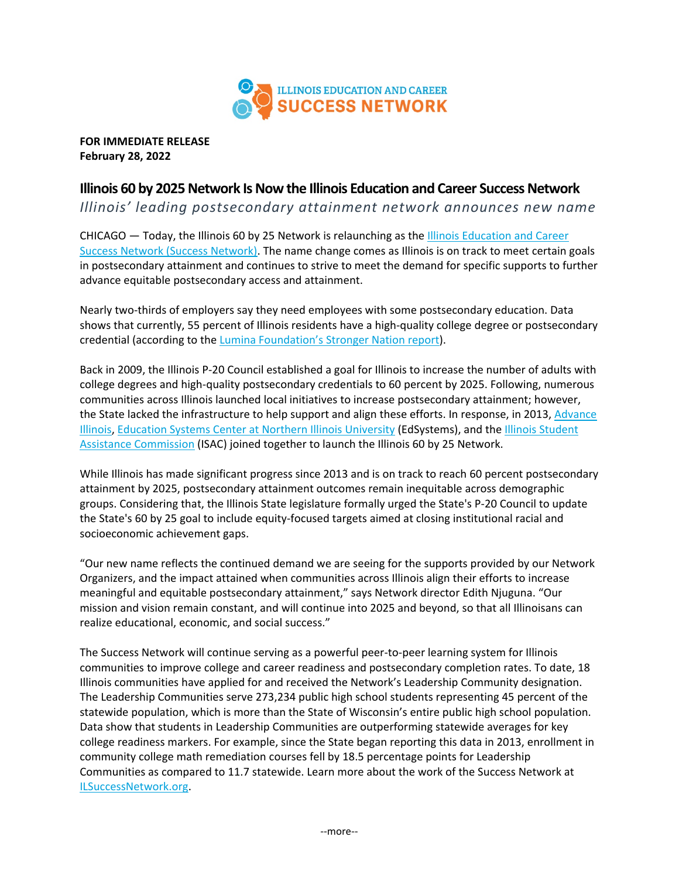

**FOR IMMEDIATE RELEASE February 28, 2022**

## **Illinois 60 by 2025 Network Is Now the Illinois Education and Career Success Network**

*Illinois' leading postsecondary attainment network announces new name*

CHICAGO — Today, the Illinois 60 by 25 Network is relaunching as the [Illinois Education and Career](http://www.ilsuccessnetwork.org/)  [Success Network \(Success Network\).](http://www.ilsuccessnetwork.org/) The name change comes as Illinois is on track to meet certain goals in postsecondary attainment and continues to strive to meet the demand for specific supports to further advance equitable postsecondary access and attainment.

Nearly two-thirds of employers say they need employees with some postsecondary education. Data shows that currently, 55 percent of Illinois residents have a high-quality college degree or postsecondary credential (according to the [Lumina Foundation's Stronger Nation report\)](https://luminafoundation.org/stronger-nation/report/#/progress/state/IL).

Back in 2009, the Illinois P-20 Council established a goal for Illinois to increase the number of adults with college degrees and high-quality postsecondary credentials to 60 percent by 2025. Following, numerous communities across Illinois launched local initiatives to increase postsecondary attainment; however, the State lacked the infrastructure to help support and align these efforts. In response, in 2013, Advance [Illinois,](https://www.advanceillinois.org/) [Education Systems Center at Northern Illinois University](https://edsystemsniu.org/) (EdSystems), and the [Illinois Student](https://www.isac.org/)  [Assistance Commission](https://www.isac.org/) (ISAC) joined together to launch the Illinois 60 by 25 Network.

While Illinois has made significant progress since 2013 and is on track to reach 60 percent postsecondary attainment by 2025, postsecondary attainment outcomes remain inequitable across demographic groups. Considering that, the Illinois State legislature formally urged the State's P-20 Council to update the State's 60 by 25 goal to include equity-focused targets aimed at closing institutional racial and socioeconomic achievement gaps.

"Our new name reflects the continued demand we are seeing for the supports provided by our Network Organizers, and the impact attained when communities across Illinois align their efforts to increase meaningful and equitable postsecondary attainment," says Network director Edith Njuguna. "Our mission and vision remain constant, and will continue into 2025 and beyond, so that all Illinoisans can realize educational, economic, and social success."

The Success Network will continue serving as a powerful peer-to-peer learning system for Illinois communities to improve college and career readiness and postsecondary completion rates. To date, 18 Illinois communities have applied for and received the Network's Leadership Community designation. The Leadership Communities serve 273,234 public high school students representing 45 percent of the statewide population, which is more than the State of Wisconsin's entire public high school population. Data show that students in Leadership Communities are outperforming statewide averages for key college readiness markers. For example, since the State began reporting this data in 2013, enrollment in community college math remediation courses fell by 18.5 percentage points for Leadership Communities as compared to 11.7 statewide. Learn more about the work of the Success Network at [ILSuccessNetwork.org.](http://www.ilsuccessnetwork.org/)